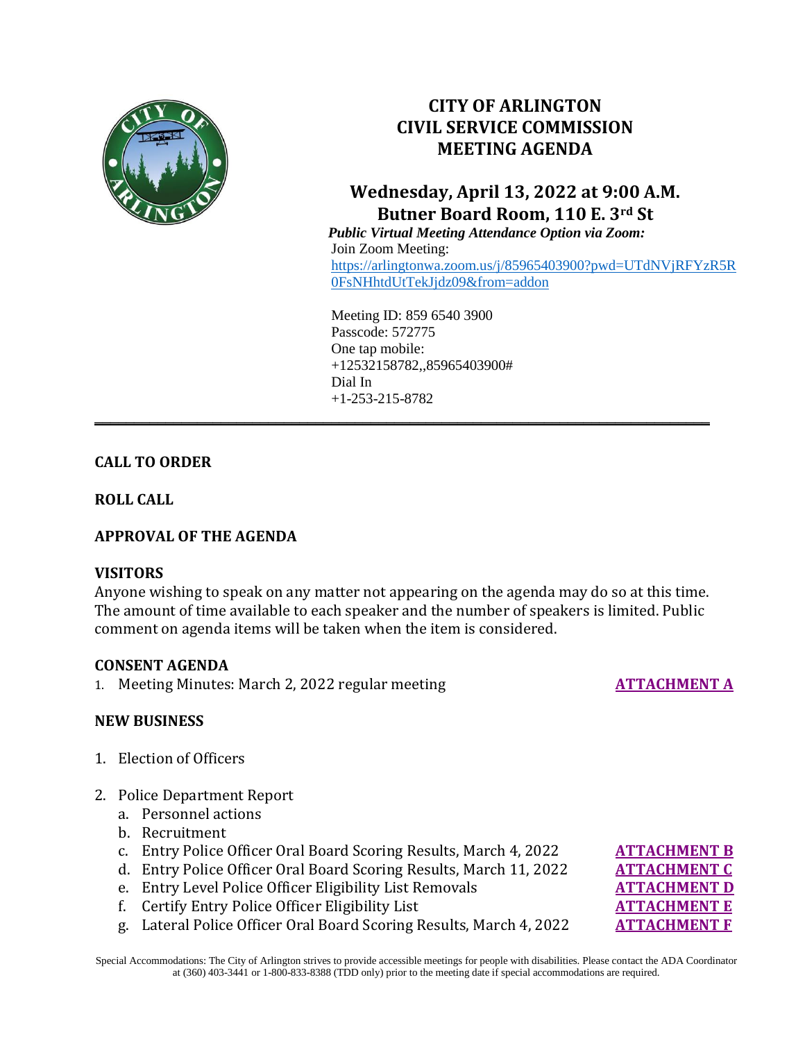

# **CITY OF ARLINGTON CIVIL SERVICE COMMISSION MEETING AGENDA**

# **Wednesday, April 13, 2022 at 9:00 A.M. Butner Board Room, 110 E. 3rd St**

 *Public Virtual Meeting Attendance Option via Zoom:* Join Zoom Meeting: [https://arlingtonwa.zoom.us/j/85965403900?pwd=UTdNVjRFYzR5R](https://arlingtonwa.zoom.us/j/85965403900?pwd=UTdNVjRFYzR5R0FsNHhtdUtTekJjdz09&from=addon) [0FsNHhtdUtTekJjdz09&from=addon](https://arlingtonwa.zoom.us/j/85965403900?pwd=UTdNVjRFYzR5R0FsNHhtdUtTekJjdz09&from=addon)

Meeting ID: 859 6540 3900 Passcode: 572775 One tap mobile: +12532158782,,85965403900# Dial In  $+1-253-215-8782$ 

**\_\_\_\_\_\_\_\_\_\_\_\_\_\_\_\_\_\_\_\_\_\_\_\_\_\_\_\_\_\_\_\_\_\_\_\_\_\_\_\_\_\_\_\_\_\_\_\_\_\_\_\_\_\_\_\_\_\_\_\_\_\_\_\_\_\_\_\_\_\_\_\_\_\_\_\_\_\_**

## **CALL TO ORDER**

**ROLL CALL**

## **APPROVAL OF THE AGENDA**

### **VISITORS**

Anyone wishing to speak on any matter not appearing on the agenda may do so at this time. The amount of time available to each speaker and the number of speakers is limited. Public comment on agenda items will be taken when the item is considered.

### **CONSENT AGENDA**

1. Meeting Minutes: March 2, 2022 regular meeting **[ATTACHMENT A](https://www.arlingtonwa.gov/DocumentCenter/View/6975/ATTACHMENT-A-3-2-2022-Meeting-Minutes)** 

## **NEW BUSINESS**

- 1. Election of Officers
- 2. Police Department Report
	- a. Personnel actions
	- b. Recruitment
	- c. Entry Police Officer Oral Board Scoring Results, March 4, 2022 **[ATTACHMENT B](https://www.arlingtonwa.gov/DocumentCenter/View/6976/ATTACHMENT-B-Oral-Board-Scoring-Results-Entry-Level-Police-Officer-3-4-2022)**
	- d. Entry Police Officer Oral Board Scoring Results, March 11, 2022 **[ATTACHMENT C](https://www.arlingtonwa.gov/DocumentCenter/View/6973/ATTACHMENT-C-Oral-Board-Scoring-Results-Entry-Level-Police-Officer-3-11-2022)**
	- e. Entry Level Police Officer Eligibility List Removals **[ATTACHMENT D](https://www.arlingtonwa.gov/DocumentCenter/View/6974/ATTACHMENT-D-Entry-Level-Police-Officer-Eligibility-List-Removals-4-13-2022)**
	- f. Certify Entry Police Officer Eligibility List **[ATTACHMENT E](https://www.arlingtonwa.gov/DocumentCenter/View/6971/ATTACHMENT-E-Entry-Level-Police-Officer-Eligibility-List-4-13-2022)**
	- g. Lateral Police Officer Oral Board Scoring Results, March 4, 2022 **[ATTACHMENT F](https://www.arlingtonwa.gov/DocumentCenter/View/6972/ATTACHMENT-F-Oral-Board-Scoring-Results-Lateral-Police-Officer-3-4-2022)**

Special Accommodations: The City of Arlington strives to provide accessible meetings for people with disabilities. Please contact the ADA Coordinator at (360) 403-3441 or 1-800-833-8388 (TDD only) prior to the meeting date if special accommodations are required.